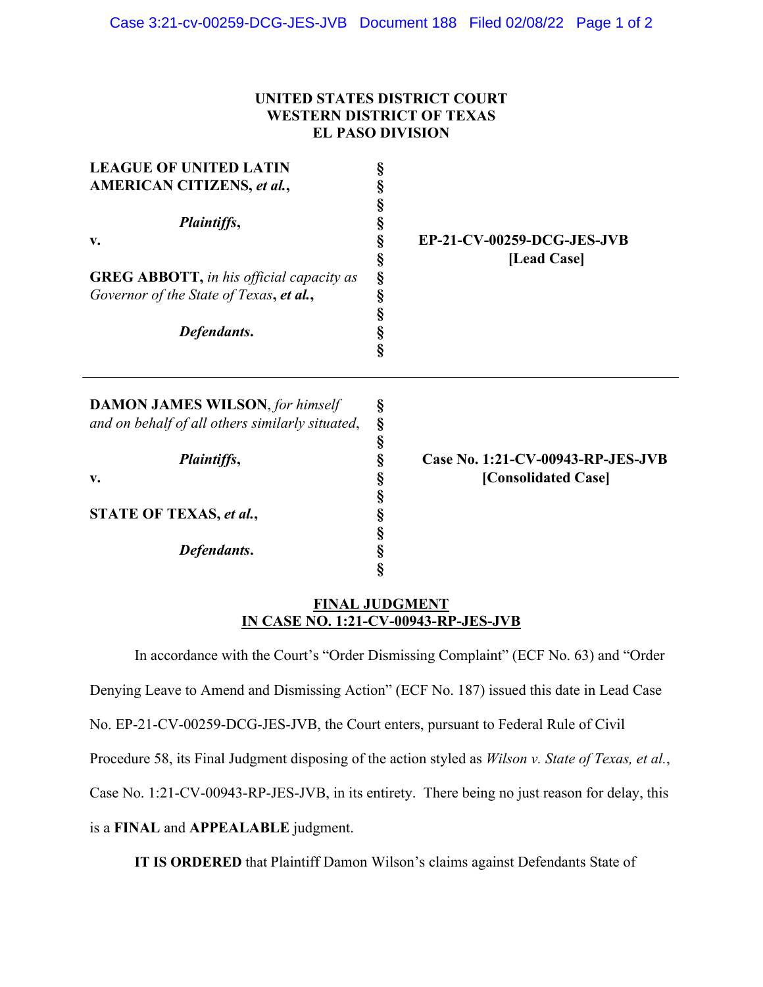## **UNITED STATES DISTRICT COURT WESTERN DISTRICT OF TEXAS EL PASO DIVISION**

| <b>LEAGUE OF UNITED LATIN</b><br><b>AMERICAN CITIZENS, et al.,</b><br>Plaintiffs,                         | §<br>§<br>§<br>§                     |                                   |
|-----------------------------------------------------------------------------------------------------------|--------------------------------------|-----------------------------------|
|                                                                                                           |                                      |                                   |
| <b>GREG ABBOTT, in his official capacity as</b><br>Governor of the State of Texas, et al.,<br>Defendants. | §<br>[Lead Case]<br>§<br>Ş<br>Ş<br>§ |                                   |
|                                                                                                           | Ş                                    |                                   |
| <b>DAMON JAMES WILSON, for himself</b>                                                                    | §                                    |                                   |
| and on behalf of all others similarly situated,                                                           | Ş<br>§                               |                                   |
| Plaintiffs,                                                                                               | Ş                                    | Case No. 1:21-CV-00943-RP-JES-JVB |
| v.                                                                                                        | §                                    | [Consolidated Case]               |
|                                                                                                           | §                                    |                                   |
| STATE OF TEXAS, et al.,                                                                                   | §                                    |                                   |
|                                                                                                           | §                                    |                                   |
| Defendants.                                                                                               | Ş                                    |                                   |
|                                                                                                           | ş                                    |                                   |

## **FINAL JUDGMENT IN CASE NO. 1:21-CV-00943-RP-JES-JVB**

 In accordance with the Court's "Order Dismissing Complaint" (ECF No. 63) and "Order Denying Leave to Amend and Dismissing Action" (ECF No. 187) issued this date in Lead Case No. EP-21-CV-00259-DCG-JES-JVB, the Court enters, pursuant to Federal Rule of Civil Procedure 58, its Final Judgment disposing of the action styled as *Wilson v. State of Texas, et al.*, Case No. 1:21-CV-00943-RP-JES-JVB, in its entirety. There being no just reason for delay, this is a **FINAL** and **APPEALABLE** judgment.

**IT IS ORDERED** that Plaintiff Damon Wilson's claims against Defendants State of